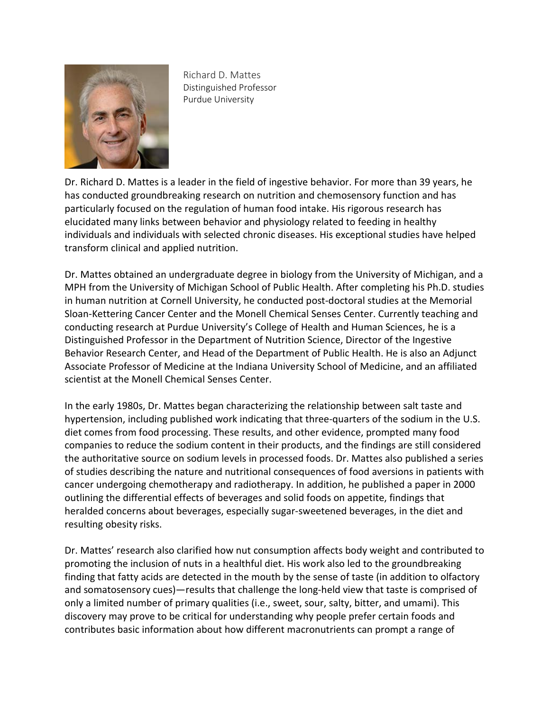

Richard D. Mattes Distinguished Professor Purdue University

Dr. Richard D. Mattes is a leader in the field of ingestive behavior. For more than 39 years, he has conducted groundbreaking research on nutrition and chemosensory function and has particularly focused on the regulation of human food intake. His rigorous research has elucidated many links between behavior and physiology related to feeding in healthy individuals and individuals with selected chronic diseases. His exceptional studies have helped transform clinical and applied nutrition.

Dr. Mattes obtained an undergraduate degree in biology from the University of Michigan, and a MPH from the University of Michigan School of Public Health. After completing his Ph.D. studies in human nutrition at Cornell University, he conducted post-doctoral studies at the Memorial Sloan-Kettering Cancer Center and the Monell Chemical Senses Center. Currently teaching and conducting research at Purdue University's College of Health and Human Sciences, he is a Distinguished Professor in the Department of Nutrition Science, Director of the Ingestive Behavior Research Center, and Head of the Department of Public Health. He is also an Adjunct Associate Professor of Medicine at the Indiana University School of Medicine, and an affiliated scientist at the Monell Chemical Senses Center.

In the early 1980s, Dr. Mattes began characterizing the relationship between salt taste and hypertension, including published work indicating that three-quarters of the sodium in the U.S. diet comes from food processing. These results, and other evidence, prompted many food companies to reduce the sodium content in their products, and the findings are still considered the authoritative source on sodium levels in processed foods. Dr. Mattes also published a series of studies describing the nature and nutritional consequences of food aversions in patients with cancer undergoing chemotherapy and radiotherapy. In addition, he published a paper in 2000 outlining the differential effects of beverages and solid foods on appetite, findings that heralded concerns about beverages, especially sugar-sweetened beverages, in the diet and resulting obesity risks.

Dr. Mattes' research also clarified how nut consumption affects body weight and contributed to promoting the inclusion of nuts in a healthful diet. His work also led to the groundbreaking finding that fatty acids are detected in the mouth by the sense of taste (in addition to olfactory and somatosensory cues)—results that challenge the long-held view that taste is comprised of only a limited number of primary qualities (i.e., sweet, sour, salty, bitter, and umami). This discovery may prove to be critical for understanding why people prefer certain foods and contributes basic information about how different macronutrients can prompt a range of